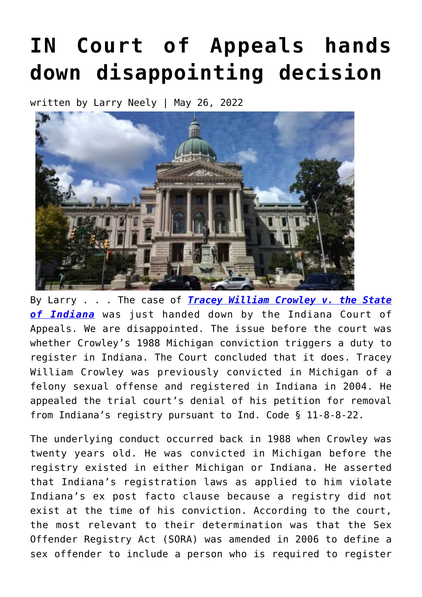## **[IN Court of Appeals hands](https://narsol.org/2022/05/in-court-of-appeals-hands-down-disappointing-decision/) [down disappointing decision](https://narsol.org/2022/05/in-court-of-appeals-hands-down-disappointing-decision/)**

written by Larry Neely | May 26, 2022



By Larry . . . The case of *[Tracey William Crowley v. the State](https://public.courts.in.gov/Decisions/api/Document/Opinion?Id=xPxjpsq5FraaH0Y9Mu5xmXGsYIxuEk9u0am-OIs0rrHSatATI_uIfqp_WNPc-1SY0) [of Indiana](https://public.courts.in.gov/Decisions/api/Document/Opinion?Id=xPxjpsq5FraaH0Y9Mu5xmXGsYIxuEk9u0am-OIs0rrHSatATI_uIfqp_WNPc-1SY0)* was just handed down by the Indiana Court of Appeals. We are disappointed. The issue before the court was whether Crowley's 1988 Michigan conviction triggers a duty to register in Indiana. The Court concluded that it does. Tracey William Crowley was previously convicted in Michigan of a felony sexual offense and registered in Indiana in 2004. He appealed the trial court's denial of his petition for removal from Indiana's registry pursuant to Ind. Code § 11-8-8-22.

The underlying conduct occurred back in 1988 when Crowley was twenty years old. He was convicted in Michigan before the registry existed in either Michigan or Indiana. He asserted that Indiana's registration laws as applied to him violate Indiana's ex post facto clause because a registry did not exist at the time of his conviction. According to the court, the most relevant to their determination was that the Sex Offender Registry Act (SORA) was amended in 2006 to define a sex offender to include a person who is required to register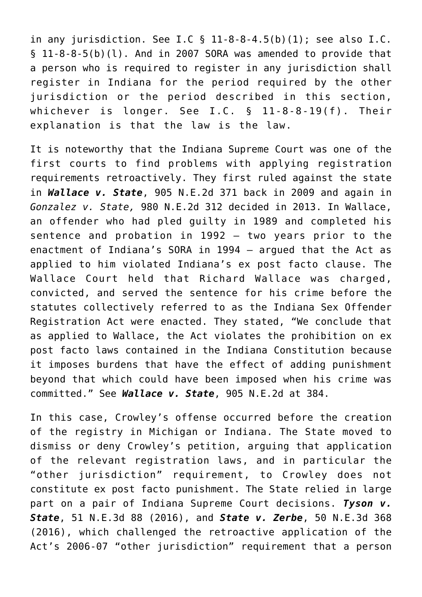in any jurisdiction. See I.C  $\S$  11-8-8-4.5(b)(1); see also I.C. § 11-8-8-5(b)(l). And in 2007 SORA was amended to provide that a person who is required to register in any jurisdiction shall register in Indiana for the period required by the other jurisdiction or the period described in this section, whichever is longer. See I.C. § 11-8-8-19(f). Their explanation is that the law is the law.

It is noteworthy that the Indiana Supreme Court was one of the first courts to find problems with applying registration requirements retroactively. They first ruled against the state in *Wallace v. State*, 905 N.E.2d 371 back in 2009 and again in *Gonzalez v. State,* 980 N.E.2d 312 decided in 2013. In Wallace, an offender who had pled guilty in 1989 and completed his sentence and probation in 1992 – two years prior to the enactment of Indiana's SORA in 1994 — argued that the Act as applied to him violated Indiana's ex post facto clause. The Wallace Court held that Richard Wallace was charged, convicted, and served the sentence for his crime before the statutes collectively referred to as the Indiana Sex Offender Registration Act were enacted. They stated, "We conclude that as applied to Wallace, the Act violates the prohibition on ex post facto laws contained in the Indiana Constitution because it imposes burdens that have the effect of adding punishment beyond that which could have been imposed when his crime was committed." See *Wallace v. State*, 905 N.E.2d at 384.

In this case, Crowley's offense occurred before the creation of the registry in Michigan or Indiana. The State moved to dismiss or deny Crowley's petition, arguing that application of the relevant registration laws, and in particular the "other jurisdiction" requirement, to Crowley does not constitute ex post facto punishment. The State relied in large part on a pair of Indiana Supreme Court decisions. *Tyson v. State*, 51 N.E.3d 88 (2016), and *State v. Zerbe*, 50 N.E.3d 368 (2016), which challenged the retroactive application of the Act's 2006-07 "other jurisdiction" requirement that a person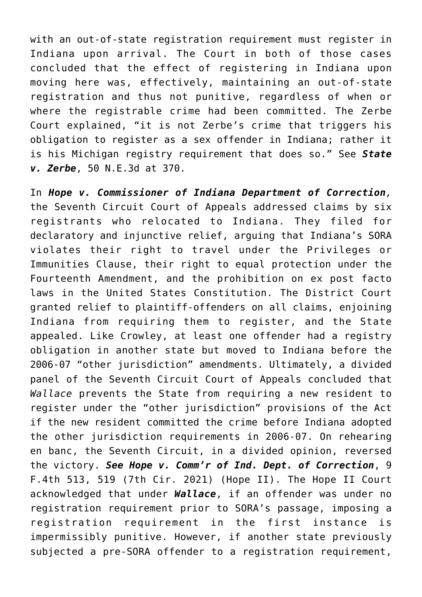with an out-of-state registration requirement must register in Indiana upon arrival. The Court in both of those cases concluded that the effect of registering in Indiana upon moving here was, effectively, maintaining an out-of-state registration and thus not punitive, regardless of when or where the registrable crime had been committed. The Zerbe Court explained, "it is not Zerbe's crime that triggers his obligation to register as a sex offender in Indiana; rather it is his Michigan registry requirement that does so." See *State v. Zerbe*, 50 N.E.3d at 370.

In *Hope v. Commissioner of Indiana Department of Correction,* the Seventh Circuit Court of Appeals addressed claims by six registrants who relocated to Indiana. They filed for declaratory and injunctive relief, arguing that Indiana's SORA violates their right to travel under the Privileges or Immunities Clause, their right to equal protection under the Fourteenth Amendment, and the prohibition on ex post facto laws in the United States Constitution. The District Court granted relief to plaintiff-offenders on all claims, enjoining Indiana from requiring them to register, and the State appealed. Like Crowley, at least one offender had a registry obligation in another state but moved to Indiana before the 2006-07 "other jurisdiction" amendments. Ultimately, a divided panel of the Seventh Circuit Court of Appeals concluded that *Wallace* prevents the State from requiring a new resident to register under the "other jurisdiction" provisions of the Act if the new resident committed the crime before Indiana adopted the other jurisdiction requirements in 2006-07. On rehearing en banc, the Seventh Circuit, in a divided opinion, reversed the victory. *See Hope v. Comm'r of Ind. Dept. of Correction*, 9 F.4th 513, 519 (7th Cir. 2021) (Hope II). The Hope II Court acknowledged that under *Wallace*, if an offender was under no registration requirement prior to SORA's passage, imposing a registration requirement in the first instance is impermissibly punitive. However, if another state previously subjected a pre-SORA offender to a registration requirement,